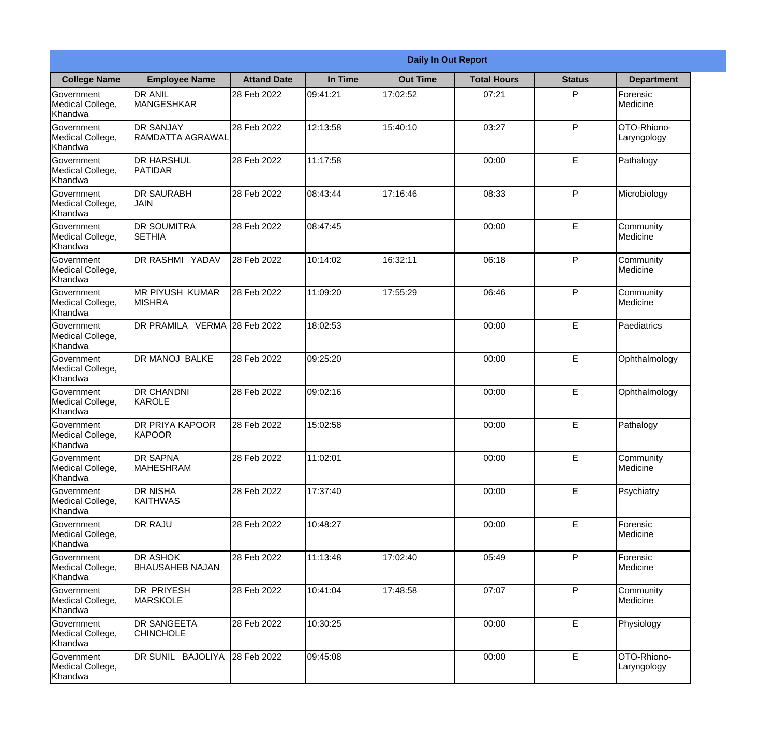|                                                  |                                           |                    |          | <b>Daily In Out Report</b> |                    |               |                            |
|--------------------------------------------------|-------------------------------------------|--------------------|----------|----------------------------|--------------------|---------------|----------------------------|
| <b>College Name</b>                              | <b>Employee Name</b>                      | <b>Attand Date</b> | In Time  | <b>Out Time</b>            | <b>Total Hours</b> | <b>Status</b> | <b>Department</b>          |
| Government<br>Medical College,<br>Khandwa        | <b>DR ANIL</b><br><b>MANGESHKAR</b>       | 28 Feb 2022        | 09:41:21 | 17:02:52                   | 07:21              | P             | Forensic<br>Medicine       |
| Government<br>Medical College,<br>Khandwa        | <b>DR SANJAY</b><br>RAMDATTA AGRAWAL      | 28 Feb 2022        | 12:13:58 | 15:40:10                   | 03:27              | P             | OTO-Rhiono-<br>Laryngology |
| <b>Government</b><br>Medical College,<br>Khandwa | <b>DR HARSHUL</b><br><b>PATIDAR</b>       | 28 Feb 2022        | 11:17:58 |                            | 00:00              | E             | Pathalogy                  |
| <b>Government</b><br>Medical College,<br>Khandwa | <b>DR SAURABH</b><br><b>JAIN</b>          | 28 Feb 2022        | 08:43:44 | 17:16:46                   | 08:33              | P             | Microbiology               |
| Government<br>Medical College,<br>Khandwa        | <b>DR SOUMITRA</b><br><b>SETHIA</b>       | 28 Feb 2022        | 08:47:45 |                            | 00:00              | E             | Community<br>Medicine      |
| Government<br>Medical College,<br>Khandwa        | DR RASHMI YADAV                           | 28 Feb 2022        | 10:14:02 | 16:32:11                   | 06:18              | P             | Community<br>Medicine      |
| Government<br>Medical College,<br>Khandwa        | <b>IMR PIYUSH KUMAR</b><br><b>MISHRA</b>  | 28 Feb 2022        | 11:09:20 | 17:55:29                   | 06:46              | P             | Community<br>Medicine      |
| <b>Government</b><br>Medical College,<br>Khandwa | DR PRAMILA VERMA 28 Feb 2022              |                    | 18:02:53 |                            | 00:00              | E             | Paediatrics                |
| Government<br>Medical College,<br>Khandwa        | <b>DR MANOJ BALKE</b>                     | 28 Feb 2022        | 09:25:20 |                            | 00:00              | E             | Ophthalmology              |
| Government<br>Medical College,<br>Khandwa        | <b>DR CHANDNI</b><br>KAROLE               | 28 Feb 2022        | 09:02:16 |                            | 00:00              | E             | Ophthalmology              |
| Government<br>Medical College,<br>Khandwa        | <b>DR PRIYA KAPOOR</b><br>KAPOOR          | 28 Feb 2022        | 15:02:58 |                            | 00:00              | E             | Pathalogy                  |
| Government<br>Medical College,<br>Khandwa        | <b>DR SAPNA</b><br><b>MAHESHRAM</b>       | 28 Feb 2022        | 11:02:01 |                            | 00:00              | E             | Community<br>Medicine      |
| Government<br>Medical College,<br>Khandwa        | <b>DR NISHA</b><br><b>KAITHWAS</b>        | 28 Feb 2022        | 17:37:40 |                            | 00:00              | E             | Psychiatry                 |
| Government<br>Medical College,<br>Khandwa        | <b>DR RAJU</b>                            | 28 Feb 2022        | 10:48:27 |                            | 00:00              | E             | Forensic<br>Medicine       |
| Government<br>Medical College,<br>Khandwa        | <b>DR ASHOK</b><br><b>BHAUSAHEB NAJAN</b> | 28 Feb 2022        | 11:13:48 | 17:02:40                   | 05:49              | P             | Forensic<br>Medicine       |
| Government<br>Medical College,<br>Khandwa        | <b>DR PRIYESH</b><br>MARSKOLE             | 28 Feb 2022        | 10:41:04 | 17:48:58                   | 07:07              | P.            | Community<br>Medicine      |
| Government<br>Medical College,<br>Khandwa        | <b>DR SANGEETA</b><br><b>CHINCHOLE</b>    | 28 Feb 2022        | 10:30:25 |                            | 00:00              | E             | Physiology                 |
| Government<br>Medical College,<br>Khandwa        | DR SUNIL BAJOLIYA                         | 28 Feb 2022        | 09:45:08 |                            | 00:00              | $\mathsf E$   | OTO-Rhiono-<br>Laryngology |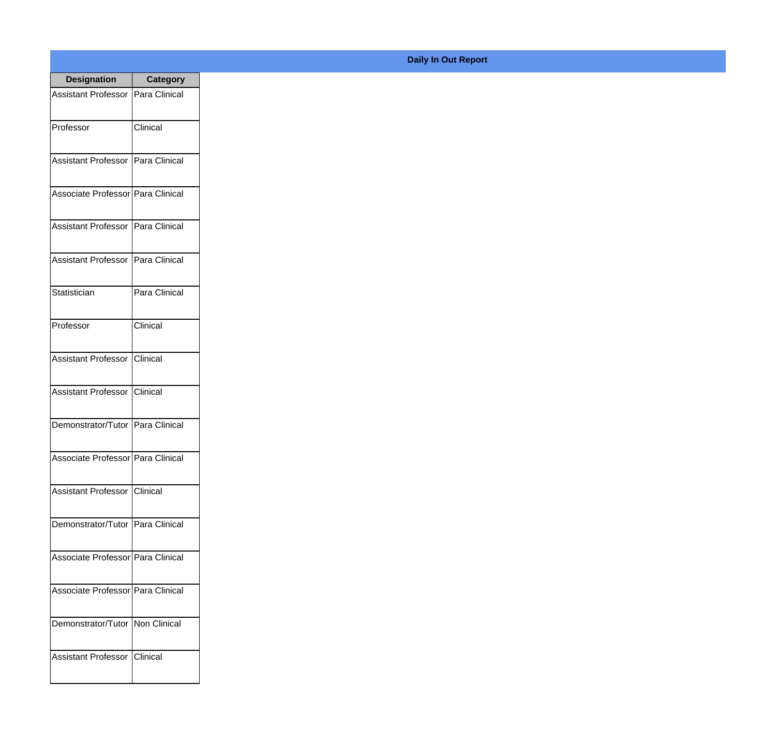| <b>Designation</b>                  | <b>Category</b> |
|-------------------------------------|-----------------|
| Assistant Professor Para Clinical   |                 |
| Professor                           | Clinical        |
| Assistant Professor   Para Clinical |                 |
| Associate Professor   Para Clinical |                 |
| <b>Assistant Professor</b>          | Para Clinical   |
| Assistant Professor   Para Clinical |                 |
| Statistician                        | Para Clinical   |
| Professor                           | Clinical        |
| Assistant Professor                 | Clinical        |
| <b>Assistant Professor</b>          | Clinical        |
| Demonstrator/Tutor   Para Clinical  |                 |
| Associate Professor Para Clinical   |                 |
| Assistant Professor   Clinical      |                 |
| Demonstrator/Tutor   Para Clinical  |                 |
| Associate Professor Para Clinical   |                 |
| Associate Professor   Para Clinical |                 |
| Demonstrator/Tutor   Non Clinical   |                 |
| <b>Assistant Professor</b>          | <b>Clinical</b> |

## **Daily In Out Report**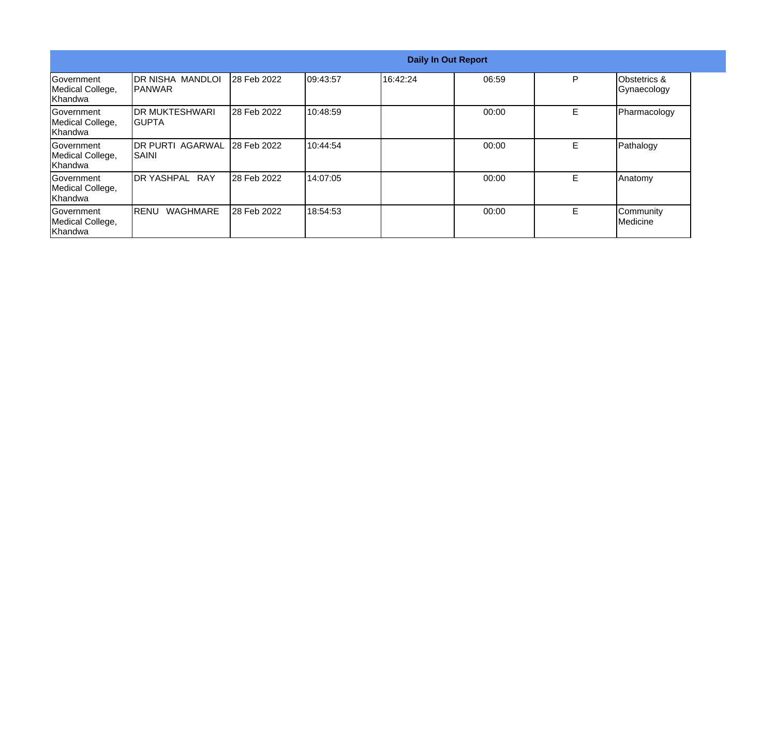|                                                   |                                         |             |           |          | <b>Daily In Out Report</b> |   |                             |
|---------------------------------------------------|-----------------------------------------|-------------|-----------|----------|----------------------------|---|-----------------------------|
| <b>Government</b><br>Medical College,<br>Khandwa  | IDR NISHA MANDLOI<br><b>IPANWAR</b>     | 28 Feb 2022 | 109:43:57 | 16:42:24 | 06:59                      | P | Obstetrics &<br>Gynaecology |
| Government<br>Medical College,<br>Khandwa         | <b>IDR MUKTESHWARI</b><br><b>IGUPTA</b> | 28 Feb 2022 | 10:48:59  |          | 00:00                      | Е | Pharmacology                |
| <b>IGovernment</b><br>Medical College,<br>Khandwa | <b>IDR PURTI AGARWAL</b><br>ISAINI      | 28 Feb 2022 | 10:44:54  |          | 00:00                      | E | Pathalogy                   |
| <b>Sovernment</b><br>Medical College,<br>Khandwa  | <b>IDR YASHPAL RAY</b>                  | 28 Feb 2022 | 14:07:05  |          | 00:00                      | Е | Anatomy                     |
| Government<br>Medical College,<br>Khandwa         | <b>WAGHMARE</b><br>IRENU                | 28 Feb 2022 | 18:54:53  |          | 00:00                      | Е | Community<br>Medicine       |